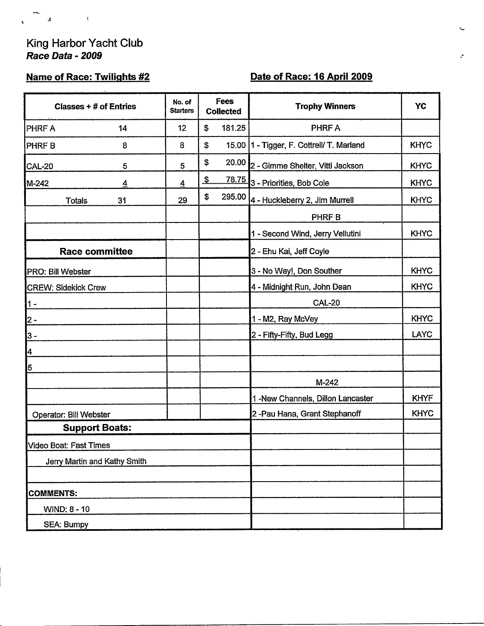#### King Harbor Yacht Club Race Data - 2009

 $\sim 10^{11}$  M

 $\mathcal{D}^{\mathcal{C}}$  $\mathcal{A}$ 

 $\mathbf{r}$ 

# **Name of Race: Twilights #2**

 $\ddot{\phantom{a}}$ 

# Date of Race: 16 April 2009

| Classes $+$ # of Entries   |                              | No. of<br><b>Starters</b> | Fees<br><b>Collected</b>  |              | <b>Trophy Winners</b>                       | YC          |
|----------------------------|------------------------------|---------------------------|---------------------------|--------------|---------------------------------------------|-------------|
| <b>PHRF A</b>              | 14                           | 12 <sub>2</sub>           | \$                        | 181.25       | PHRF A                                      |             |
| PHRF <sub>B</sub>          | 8                            | 8                         | $\mathbb S$               |              | 15.00   1 - Tigger, F. Cottrell/ T. Marland | <b>KHYC</b> |
| CAL-20                     | 5                            | 5                         | \$                        | 20.00        | 2 - Gimme Shelter, Vitti Jackson            | <b>KHYC</b> |
| M-242                      | <u>4</u>                     | $\overline{4}$            | $\boldsymbol{\mathsf{S}}$ | <u>78.75</u> | 3 - Priorities, Bob Cole                    | <b>KHYC</b> |
| <b>Totals</b>              | 31                           | 29                        | \$                        | 295.00       | 4 - Huckleberry 2, Jim Murrell              | <b>KHYC</b> |
|                            |                              |                           |                           |              | PHRF B                                      |             |
|                            |                              |                           |                           |              | 1 - Second Wind, Jerry Vellutini            | <b>KHYC</b> |
|                            | <b>Race committee</b>        |                           |                           |              | 2 - Ehu Kai, Jeff Coyle                     |             |
| PRO: Bill Webster          |                              |                           |                           |              | 3 - No Way!, Don Souther                    | <b>KHYC</b> |
| <b>CREW: Sidekick Crew</b> |                              |                           |                           |              | 4 - Midnight Run, John Dean                 | <b>KHYC</b> |
| $1 -$                      |                              |                           |                           |              | <b>CAL-20</b>                               |             |
| $2 -$                      |                              |                           |                           |              | 1 - M2, Ray McVey                           | <b>KHYC</b> |
| 3 -                        |                              |                           |                           |              | 2 - Fifty-Fifty, Bud Legg                   | <b>LAYC</b> |
| 4                          |                              |                           |                           |              |                                             |             |
| 5                          |                              |                           |                           |              |                                             |             |
|                            |                              |                           |                           |              | $M-242$                                     |             |
|                            |                              |                           |                           |              | 1-New Channels, Dillon Lancaster            | <b>KHYF</b> |
| Operator: Bill Webster     |                              |                           |                           |              | 2-Pau Hana, Grant Stephanoff                | <b>KHYC</b> |
|                            | <b>Support Boats:</b>        |                           |                           |              |                                             |             |
| Video Boat: Fast Times     |                              |                           |                           |              |                                             |             |
|                            | Jerry Martin and Kathy Smith |                           |                           |              |                                             |             |
|                            |                              |                           |                           |              |                                             |             |
| <b>COMMENTS:</b>           |                              |                           |                           |              |                                             |             |
| <b>WIND: 8 - 10</b>        |                              |                           |                           |              |                                             |             |
| <b>SEA: Bumpy</b>          |                              |                           |                           |              |                                             |             |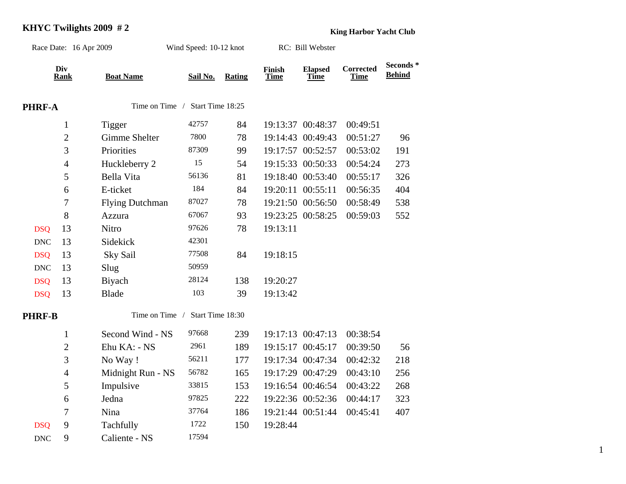# **KHYC Twilights 2009 # 2 King Harbor Yacht Club**

| Race Date: 16 Apr 2009 |                    |                                 | Wind Speed: 10-12 knot |               |                              | RC: Bill Webster              |                          |                            |
|------------------------|--------------------|---------------------------------|------------------------|---------------|------------------------------|-------------------------------|--------------------------|----------------------------|
|                        | Div<br><b>Rank</b> | <b>Boat Name</b>                | Sail No.               | <b>Rating</b> | <b>Finish</b><br><b>Time</b> | <b>Elapsed</b><br><b>Time</b> | Corrected<br><b>Time</b> | Seconds *<br><b>Behind</b> |
| PHRF-A                 |                    | Time on Time / Start Time 18:25 |                        |               |                              |                               |                          |                            |
|                        | $\mathbf{1}$       | <b>Tigger</b>                   | 42757                  | 84            |                              | 19:13:37 00:48:37             | 00:49:51                 |                            |
|                        | $\overline{c}$     | Gimme Shelter                   | 7800                   | 78            |                              | 19:14:43 00:49:43             | 00:51:27                 | 96                         |
|                        | $\overline{3}$     | Priorities                      | 87309                  | 99            |                              | 19:17:57 00:52:57             | 00:53:02                 | 191                        |
|                        | $\overline{4}$     | Huckleberry 2                   | 15                     | 54            |                              | 19:15:33 00:50:33             | 00:54:24                 | 273                        |
|                        | 5                  | Bella Vita                      | 56136                  | 81            |                              | 19:18:40 00:53:40             | 00:55:17                 | 326                        |
|                        | 6                  | E-ticket                        | 184                    | 84            |                              | 19:20:11 00:55:11             | 00:56:35                 | 404                        |
|                        | $\boldsymbol{7}$   | <b>Flying Dutchman</b>          | 87027                  | 78            |                              | 19:21:50 00:56:50             | 00:58:49                 | 538                        |
|                        | 8                  | Azzura                          | 67067                  | 93            |                              | 19:23:25 00:58:25             | 00:59:03                 | 552                        |
| <b>DSQ</b>             | 13                 | Nitro                           | 97626                  | 78            | 19:13:11                     |                               |                          |                            |
| <b>DNC</b>             | 13                 | Sidekick                        | 42301                  |               |                              |                               |                          |                            |
| <b>DSQ</b>             | 13                 | <b>Sky Sail</b>                 | 77508                  | 84            | 19:18:15                     |                               |                          |                            |
| <b>DNC</b>             | 13                 | Slug                            | 50959                  |               |                              |                               |                          |                            |
| <b>DSQ</b>             | 13                 | Biyach                          | 28124                  | 138           | 19:20:27                     |                               |                          |                            |
| <b>DSQ</b>             | 13                 | <b>Blade</b>                    | 103                    | 39            | 19:13:42                     |                               |                          |                            |
| <b>PHRF-B</b>          |                    | Time on Time /                  | Start Time 18:30       |               |                              |                               |                          |                            |
|                        | $\mathbf{1}$       | Second Wind - NS                | 97668                  | 239           |                              | 19:17:13 00:47:13             | 00:38:54                 |                            |
|                        | $\overline{2}$     | Ehu KA: - NS                    | 2961                   | 189           |                              | 19:15:17 00:45:17             | 00:39:50                 | 56                         |
|                        | 3                  | No Way!                         | 56211                  | 177           |                              | 19:17:34 00:47:34             | 00:42:32                 | 218                        |
|                        | $\overline{4}$     | Midnight Run - NS               | 56782                  | 165           |                              | 19:17:29 00:47:29             | 00:43:10                 | 256                        |
|                        | 5                  | Impulsive                       | 33815                  | 153           |                              | 19:16:54 00:46:54             | 00:43:22                 | 268                        |
|                        | 6                  | Jedna                           | 97825                  | 222           |                              | 19:22:36 00:52:36             | 00:44:17                 | 323                        |
|                        | $\tau$             | Nina                            | 37764                  | 186           |                              | 19:21:44 00:51:44             | 00:45:41                 | 407                        |
| <b>DSQ</b>             | 9                  | Tachfully                       | 1722                   | 150           | 19:28:44                     |                               |                          |                            |
| <b>DNC</b>             | 9                  | Caliente - NS                   | 17594                  |               |                              |                               |                          |                            |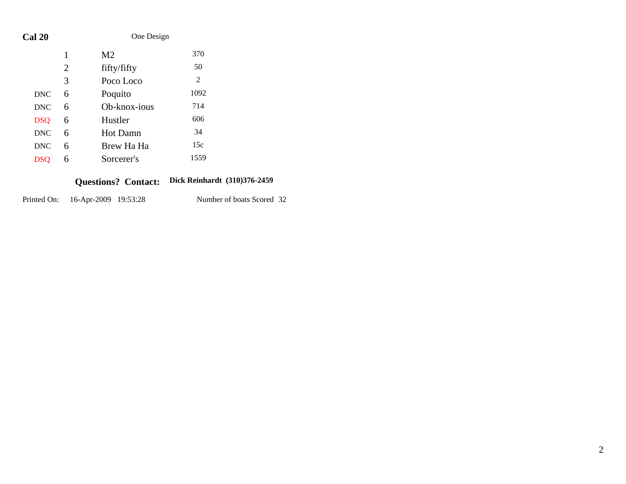| Cal 20     |   | One Design      |      |  |  |  |
|------------|---|-----------------|------|--|--|--|
|            | 1 | M <sub>2</sub>  | 370  |  |  |  |
|            | 2 | fifty/fifty     | 50   |  |  |  |
|            | 3 | Poco Loco       | 2    |  |  |  |
| <b>DNC</b> | 6 | Poquito         | 1092 |  |  |  |
| <b>DNC</b> | 6 | Ob-knox-jous    | 714  |  |  |  |
| <b>DSQ</b> | 6 | Hustler         | 606  |  |  |  |
| <b>DNC</b> | 6 | <b>Hot Damn</b> | 34   |  |  |  |
| <b>DNC</b> | 6 | Brew Ha Ha      | 15c  |  |  |  |
| DSO        | 6 | Sorcerer's      | 1559 |  |  |  |
|            |   |                 |      |  |  |  |

#### **Dick Reinhardt (310)376-2459 Questions? Contact:**

| Printed On: | 16-Apr-2009 19:53:28 | Number of boats Scored 32 |  |
|-------------|----------------------|---------------------------|--|
|             |                      |                           |  |